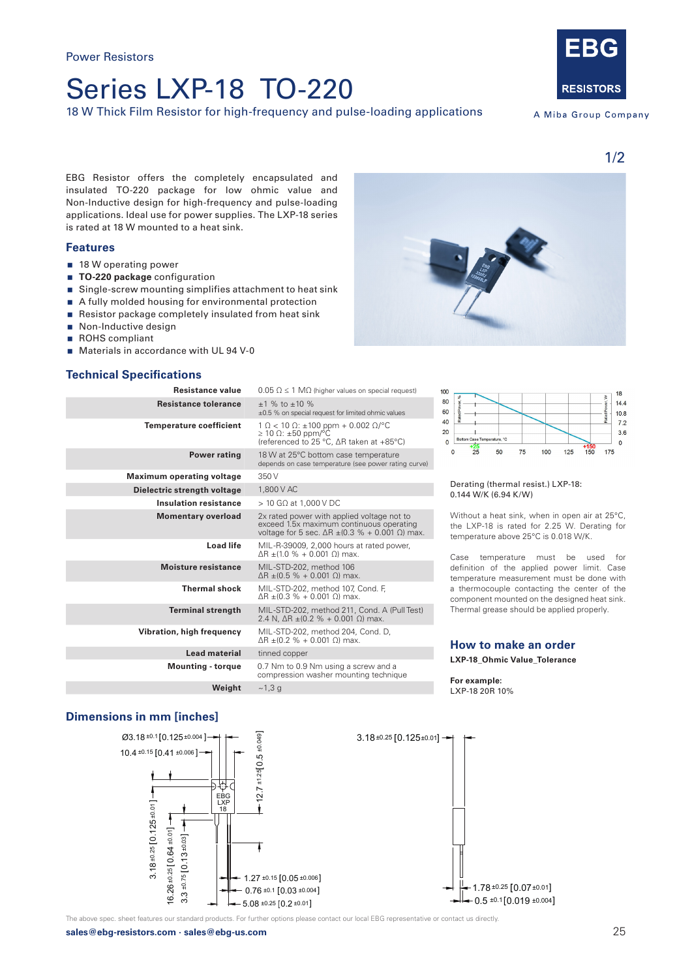# Series LXP-18 TO-220

18 W Thick Film Resistor for high-frequency and pulse-loading applications



A Miba Group Company

EBG Resistor offers the completely encapsulated and insulated TO-220 package for low ohmic value and Non-Inductive design for high-frequency and pulse-loading applications. Ideal use for power supplies. The LXP-18 series is rated at 18 W mounted to a heat sink.

## **Features**

- 18 W operating power
- **TO-220 package** configuration
- Single-screw mounting simplifies attachment to heat sink
- A fully molded housing for environmental protection
- Resistor package completely insulated from heat sink
- Non-Inductive design
- ROHS compliant
- **Materials in accordance with UL 94 V-0**

## **Technical Specifications**

| Resistance value                 | $0.05 \Omega \le 1 \text{ M}\Omega$ (higher values on special request)                                                                                   |
|----------------------------------|----------------------------------------------------------------------------------------------------------------------------------------------------------|
| <b>Resistance tolerance</b>      | $±1$ % to $±10$ %<br>±0.5 % on special request for limited ohmic values                                                                                  |
| <b>Temperature coefficient</b>   | $1 \Omega < 10 \Omega$ : ±100 ppm + 0.002 Ω/°C<br>$\geq$ 10 $\Omega$ : ±50 ppm/°C<br>(referenced to 25 °C, ∆R taken at +85°C)                            |
| <b>Power rating</b>              | 18 W at 25°C bottom case temperature<br>depends on case temperature (see power rating curve)                                                             |
| <b>Maximum operating voltage</b> | 350 V                                                                                                                                                    |
| Dielectric strength voltage      | 1.800 V AC                                                                                                                                               |
| <b>Insulation resistance</b>     | $>$ 10 G $\Omega$ at 1,000 V DC                                                                                                                          |
| <b>Momentary overload</b>        | 2x rated power with applied voltage not to<br>exceed 1.5x maximum continuous operating<br>voltage for 5 sec. $\Delta R \pm (0.3 \% + 0.001 \Omega)$ max. |
| <b>Load life</b>                 | MIL-R-39009, 2,000 hours at rated power,<br>$\Delta$ R ±(1.0 % + 0.001 $\Omega$ ) max.                                                                   |
| <b>Moisture resistance</b>       | MIL-STD-202, method 106<br>$ΔR ± (0.5 % + 0.001 Ω)$ max.                                                                                                 |
| <b>Thermal shock</b>             | MIL-STD-202, method 107, Cond. F,<br>ΔR $\pm$ (0.3 % + 0.001 Ω) max.                                                                                     |
| <b>Terminal strength</b>         | MIL-STD-202, method 211, Cond. A (Pull Test)<br>2.4 N, $\Delta$ R $\pm$ (0.2 % + 0.001 $\Omega$ ) max.                                                   |
| Vibration, high frequency        | MIL-STD-202, method 204, Cond. D,<br>ΔR ±(0.2 % + 0.001 Ω) max.                                                                                          |
| <b>Lead material</b>             | tinned copper                                                                                                                                            |
| <b>Mounting - torque</b>         | 0.7 Nm to 0.9 Nm using a screw and a<br>compression washer mounting technique                                                                            |
| Weight                           | ~1,3 g                                                                                                                                                   |





#### Derating (thermal resist.) LXP-18: 0.144 W/K (6.94 K/W)

Without a heat sink, when in open air at 25°C, the LXP-18 is rated for 2.25 W. Derating for temperature above 25°C is 0.018 W/K.

Case temperature must be used for definition of the applied power limit. Case temperature measurement must be done with a thermocouple contacting the center of the component mounted on the designed heat sink. Thermal grease should be applied properly.

## **How to make an order LXP-18\_Ohmic Value\_Tolerance**

#### **For example:**  LXP-18 20R 10%

## **Dimensions in mm [inches]**



The above spec. sheet features our standard products. For further options please contact our local EBG representative or contact us directly.